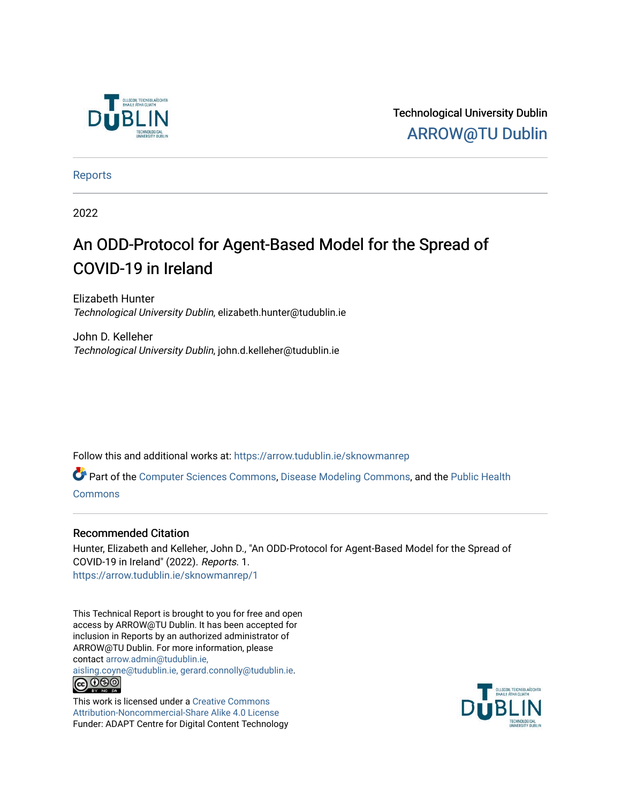

Technological University Dublin [ARROW@TU Dublin](https://arrow.tudublin.ie/) 

[Reports](https://arrow.tudublin.ie/sknowmanrep)

2022

# An ODD-Protocol for Agent-Based Model for the Spread of COVID-19 in Ireland

Elizabeth Hunter Technological University Dublin, elizabeth.hunter@tudublin.ie

John D. Kelleher Technological University Dublin, john.d.kelleher@tudublin.ie

Follow this and additional works at: [https://arrow.tudublin.ie/sknowmanrep](https://arrow.tudublin.ie/sknowmanrep?utm_source=arrow.tudublin.ie%2Fsknowmanrep%2F1&utm_medium=PDF&utm_campaign=PDFCoverPages) 

Part of the [Computer Sciences Commons](http://network.bepress.com/hgg/discipline/142?utm_source=arrow.tudublin.ie%2Fsknowmanrep%2F1&utm_medium=PDF&utm_campaign=PDFCoverPages), [Disease Modeling Commons,](http://network.bepress.com/hgg/discipline/814?utm_source=arrow.tudublin.ie%2Fsknowmanrep%2F1&utm_medium=PDF&utm_campaign=PDFCoverPages) and the [Public Health](http://network.bepress.com/hgg/discipline/738?utm_source=arrow.tudublin.ie%2Fsknowmanrep%2F1&utm_medium=PDF&utm_campaign=PDFCoverPages)  **[Commons](http://network.bepress.com/hgg/discipline/738?utm_source=arrow.tudublin.ie%2Fsknowmanrep%2F1&utm_medium=PDF&utm_campaign=PDFCoverPages)** 

## Recommended Citation

Hunter, Elizabeth and Kelleher, John D., "An ODD-Protocol for Agent-Based Model for the Spread of COVID-19 in Ireland" (2022). Reports. 1. [https://arrow.tudublin.ie/sknowmanrep/1](https://arrow.tudublin.ie/sknowmanrep/1?utm_source=arrow.tudublin.ie%2Fsknowmanrep%2F1&utm_medium=PDF&utm_campaign=PDFCoverPages) 

This Technical Report is brought to you for free and open access by ARROW@TU Dublin. It has been accepted for inclusion in Reports by an authorized administrator of ARROW@TU Dublin. For more information, please contact [arrow.admin@tudublin.ie,](mailto:arrow.admin@tudublin.ie,%20aisling.coyne@tudublin.ie,%20gerard.connolly@tudublin.ie)  [aisling.coyne@tudublin.ie, gerard.connolly@tudublin.ie](mailto:arrow.admin@tudublin.ie,%20aisling.coyne@tudublin.ie,%20gerard.connolly@tudublin.ie). **@@@** 

This work is licensed under a [Creative Commons](http://creativecommons.org/licenses/by-nc-sa/4.0/) [Attribution-Noncommercial-Share Alike 4.0 License](http://creativecommons.org/licenses/by-nc-sa/4.0/) Funder: ADAPT Centre for Digital Content Technology

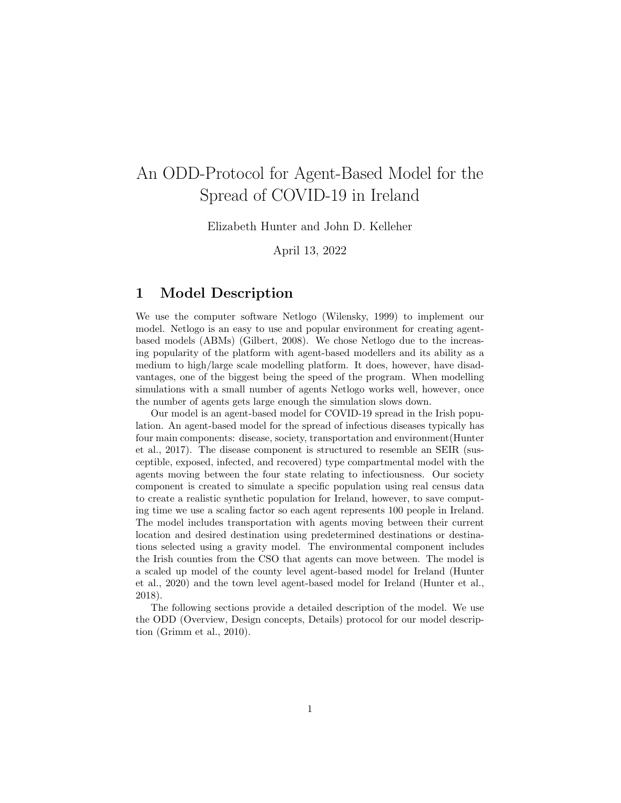# An ODD-Protocol for Agent-Based Model for the Spread of COVID-19 in Ireland

Elizabeth Hunter and John D. Kelleher

April 13, 2022

## 1 Model Description

We use the computer software Netlogo (Wilensky, 1999) to implement our model. Netlogo is an easy to use and popular environment for creating agentbased models (ABMs) (Gilbert, 2008). We chose Netlogo due to the increasing popularity of the platform with agent-based modellers and its ability as a medium to high/large scale modelling platform. It does, however, have disadvantages, one of the biggest being the speed of the program. When modelling simulations with a small number of agents Netlogo works well, however, once the number of agents gets large enough the simulation slows down.

Our model is an agent-based model for COVID-19 spread in the Irish population. An agent-based model for the spread of infectious diseases typically has four main components: disease, society, transportation and environment(Hunter et al., 2017). The disease component is structured to resemble an SEIR (susceptible, exposed, infected, and recovered) type compartmental model with the agents moving between the four state relating to infectiousness. Our society component is created to simulate a specific population using real census data to create a realistic synthetic population for Ireland, however, to save computing time we use a scaling factor so each agent represents 100 people in Ireland. The model includes transportation with agents moving between their current location and desired destination using predetermined destinations or destinations selected using a gravity model. The environmental component includes the Irish counties from the CSO that agents can move between. The model is a scaled up model of the county level agent-based model for Ireland (Hunter et al., 2020) and the town level agent-based model for Ireland (Hunter et al., 2018).

The following sections provide a detailed description of the model. We use the ODD (Overview, Design concepts, Details) protocol for our model description (Grimm et al., 2010).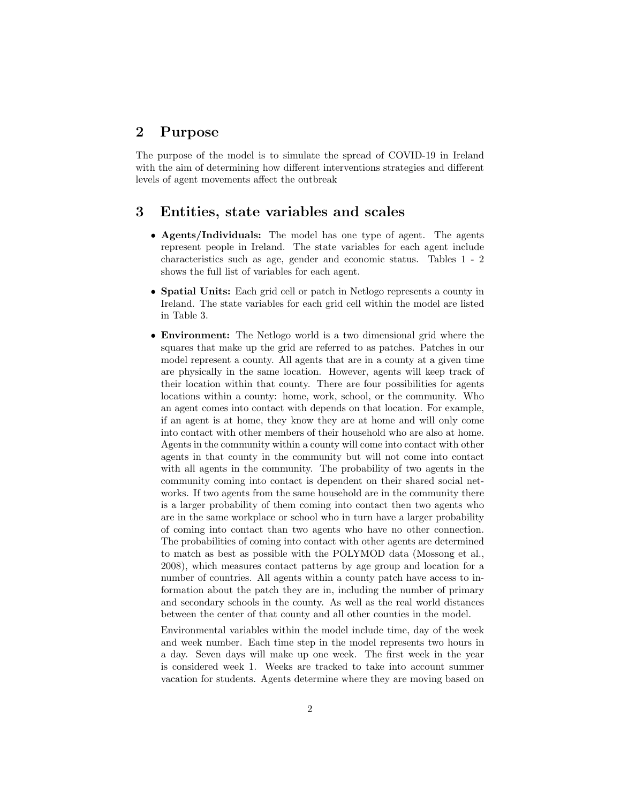## 2 Purpose

The purpose of the model is to simulate the spread of COVID-19 in Ireland with the aim of determining how different interventions strategies and different levels of agent movements affect the outbreak

## 3 Entities, state variables and scales

- Agents/Individuals: The model has one type of agent. The agents represent people in Ireland. The state variables for each agent include characteristics such as age, gender and economic status. Tables 1 - 2 shows the full list of variables for each agent.
- **Spatial Units:** Each grid cell or patch in Netlogo represents a county in Ireland. The state variables for each grid cell within the model are listed in Table 3.
- Environment: The Netlogo world is a two dimensional grid where the squares that make up the grid are referred to as patches. Patches in our model represent a county. All agents that are in a county at a given time are physically in the same location. However, agents will keep track of their location within that county. There are four possibilities for agents locations within a county: home, work, school, or the community. Who an agent comes into contact with depends on that location. For example, if an agent is at home, they know they are at home and will only come into contact with other members of their household who are also at home. Agents in the community within a county will come into contact with other agents in that county in the community but will not come into contact with all agents in the community. The probability of two agents in the community coming into contact is dependent on their shared social networks. If two agents from the same household are in the community there is a larger probability of them coming into contact then two agents who are in the same workplace or school who in turn have a larger probability of coming into contact than two agents who have no other connection. The probabilities of coming into contact with other agents are determined to match as best as possible with the POLYMOD data (Mossong et al., 2008), which measures contact patterns by age group and location for a number of countries. All agents within a county patch have access to information about the patch they are in, including the number of primary and secondary schools in the county. As well as the real world distances between the center of that county and all other counties in the model.

Environmental variables within the model include time, day of the week and week number. Each time step in the model represents two hours in a day. Seven days will make up one week. The first week in the year is considered week 1. Weeks are tracked to take into account summer vacation for students. Agents determine where they are moving based on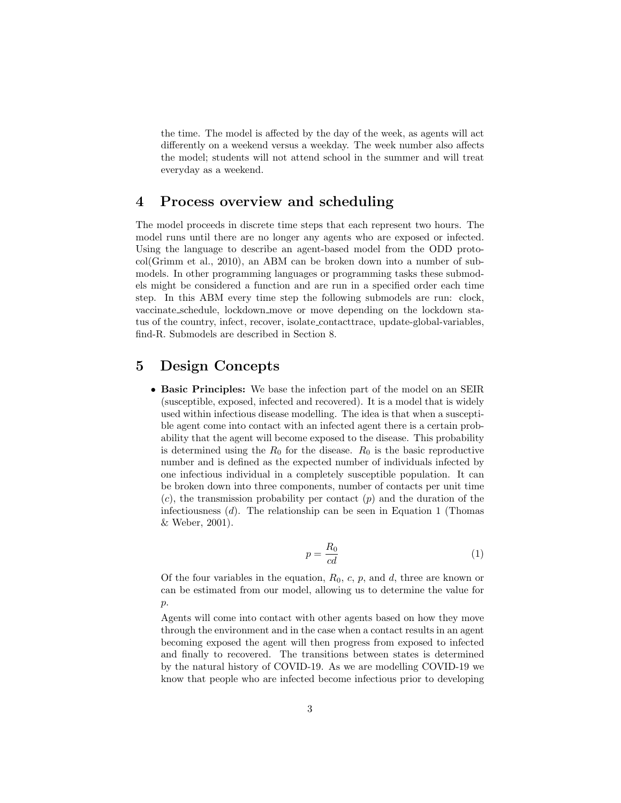the time. The model is affected by the day of the week, as agents will act differently on a weekend versus a weekday. The week number also affects the model; students will not attend school in the summer and will treat everyday as a weekend.

# 4 Process overview and scheduling

The model proceeds in discrete time steps that each represent two hours. The model runs until there are no longer any agents who are exposed or infected. Using the language to describe an agent-based model from the ODD protocol(Grimm et al., 2010), an ABM can be broken down into a number of submodels. In other programming languages or programming tasks these submodels might be considered a function and are run in a specified order each time step. In this ABM every time step the following submodels are run: clock, vaccinate schedule, lockdown move or move depending on the lockdown status of the country, infect, recover, isolate contacttrace, update-global-variables, find-R. Submodels are described in Section 8.

# 5 Design Concepts

• Basic Principles: We base the infection part of the model on an SEIR (susceptible, exposed, infected and recovered). It is a model that is widely used within infectious disease modelling. The idea is that when a susceptible agent come into contact with an infected agent there is a certain probability that the agent will become exposed to the disease. This probability is determined using the  $R_0$  for the disease.  $R_0$  is the basic reproductive number and is defined as the expected number of individuals infected by one infectious individual in a completely susceptible population. It can be broken down into three components, number of contacts per unit time  $(c)$ , the transmission probability per contact  $(p)$  and the duration of the infectiousness  $(d)$ . The relationship can be seen in Equation 1 (Thomas & Weber, 2001).

$$
p = \frac{R_0}{cd} \tag{1}
$$

Of the four variables in the equation,  $R_0$ , c, p, and d, three are known or can be estimated from our model, allowing us to determine the value for  $p$ .

Agents will come into contact with other agents based on how they move through the environment and in the case when a contact results in an agent becoming exposed the agent will then progress from exposed to infected and finally to recovered. The transitions between states is determined by the natural history of COVID-19. As we are modelling COVID-19 we know that people who are infected become infectious prior to developing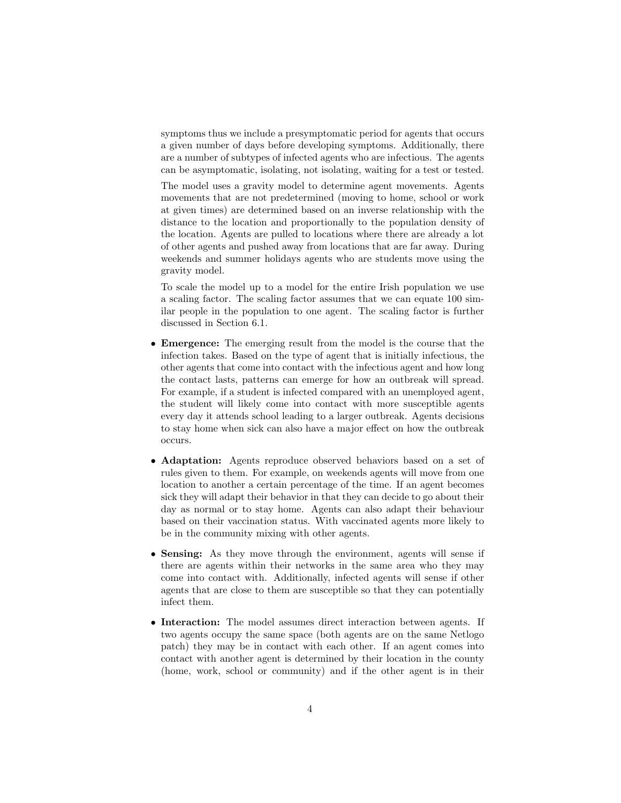symptoms thus we include a presymptomatic period for agents that occurs a given number of days before developing symptoms. Additionally, there are a number of subtypes of infected agents who are infectious. The agents can be asymptomatic, isolating, not isolating, waiting for a test or tested.

The model uses a gravity model to determine agent movements. Agents movements that are not predetermined (moving to home, school or work at given times) are determined based on an inverse relationship with the distance to the location and proportionally to the population density of the location. Agents are pulled to locations where there are already a lot of other agents and pushed away from locations that are far away. During weekends and summer holidays agents who are students move using the gravity model.

To scale the model up to a model for the entire Irish population we use a scaling factor. The scaling factor assumes that we can equate 100 similar people in the population to one agent. The scaling factor is further discussed in Section 6.1.

- Emergence: The emerging result from the model is the course that the infection takes. Based on the type of agent that is initially infectious, the other agents that come into contact with the infectious agent and how long the contact lasts, patterns can emerge for how an outbreak will spread. For example, if a student is infected compared with an unemployed agent, the student will likely come into contact with more susceptible agents every day it attends school leading to a larger outbreak. Agents decisions to stay home when sick can also have a major effect on how the outbreak occurs.
- Adaptation: Agents reproduce observed behaviors based on a set of rules given to them. For example, on weekends agents will move from one location to another a certain percentage of the time. If an agent becomes sick they will adapt their behavior in that they can decide to go about their day as normal or to stay home. Agents can also adapt their behaviour based on their vaccination status. With vaccinated agents more likely to be in the community mixing with other agents.
- Sensing: As they move through the environment, agents will sense if there are agents within their networks in the same area who they may come into contact with. Additionally, infected agents will sense if other agents that are close to them are susceptible so that they can potentially infect them.
- Interaction: The model assumes direct interaction between agents. If two agents occupy the same space (both agents are on the same Netlogo patch) they may be in contact with each other. If an agent comes into contact with another agent is determined by their location in the county (home, work, school or community) and if the other agent is in their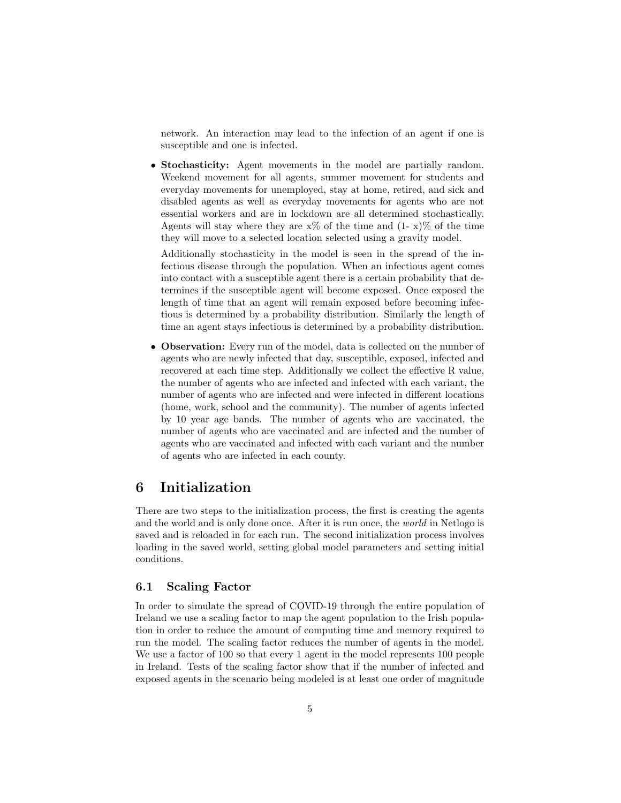network. An interaction may lead to the infection of an agent if one is susceptible and one is infected.

• Stochasticity: Agent movements in the model are partially random. Weekend movement for all agents, summer movement for students and everyday movements for unemployed, stay at home, retired, and sick and disabled agents as well as everyday movements for agents who are not essential workers and are in lockdown are all determined stochastically. Agents will stay where they are  $x\%$  of the time and  $(1-x)\%$  of the time they will move to a selected location selected using a gravity model.

Additionally stochasticity in the model is seen in the spread of the infectious disease through the population. When an infectious agent comes into contact with a susceptible agent there is a certain probability that determines if the susceptible agent will become exposed. Once exposed the length of time that an agent will remain exposed before becoming infectious is determined by a probability distribution. Similarly the length of time an agent stays infectious is determined by a probability distribution.

• Observation: Every run of the model, data is collected on the number of agents who are newly infected that day, susceptible, exposed, infected and recovered at each time step. Additionally we collect the effective R value, the number of agents who are infected and infected with each variant, the number of agents who are infected and were infected in different locations (home, work, school and the community). The number of agents infected by 10 year age bands. The number of agents who are vaccinated, the number of agents who are vaccinated and are infected and the number of agents who are vaccinated and infected with each variant and the number of agents who are infected in each county.

# 6 Initialization

There are two steps to the initialization process, the first is creating the agents and the world and is only done once. After it is run once, the world in Netlogo is saved and is reloaded in for each run. The second initialization process involves loading in the saved world, setting global model parameters and setting initial conditions.

#### 6.1 Scaling Factor

In order to simulate the spread of COVID-19 through the entire population of Ireland we use a scaling factor to map the agent population to the Irish population in order to reduce the amount of computing time and memory required to run the model. The scaling factor reduces the number of agents in the model. We use a factor of 100 so that every 1 agent in the model represents 100 people in Ireland. Tests of the scaling factor show that if the number of infected and exposed agents in the scenario being modeled is at least one order of magnitude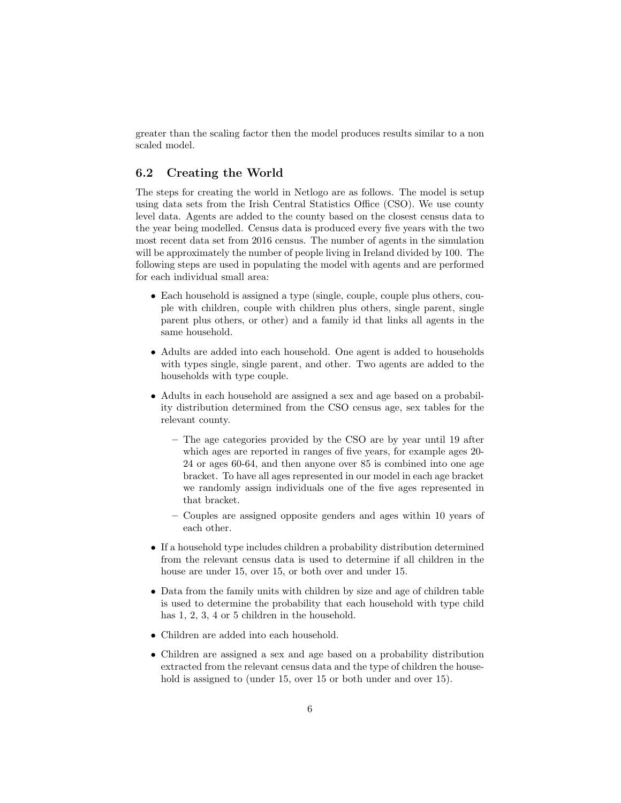greater than the scaling factor then the model produces results similar to a non scaled model.

## 6.2 Creating the World

The steps for creating the world in Netlogo are as follows. The model is setup using data sets from the Irish Central Statistics Office (CSO). We use county level data. Agents are added to the county based on the closest census data to the year being modelled. Census data is produced every five years with the two most recent data set from 2016 census. The number of agents in the simulation will be approximately the number of people living in Ireland divided by 100. The following steps are used in populating the model with agents and are performed for each individual small area:

- Each household is assigned a type (single, couple, couple plus others, couple with children, couple with children plus others, single parent, single parent plus others, or other) and a family id that links all agents in the same household.
- Adults are added into each household. One agent is added to households with types single, single parent, and other. Two agents are added to the households with type couple.
- Adults in each household are assigned a sex and age based on a probability distribution determined from the CSO census age, sex tables for the relevant county.
	- The age categories provided by the CSO are by year until 19 after which ages are reported in ranges of five years, for example ages 20- 24 or ages 60-64, and then anyone over 85 is combined into one age bracket. To have all ages represented in our model in each age bracket we randomly assign individuals one of the five ages represented in that bracket.
	- Couples are assigned opposite genders and ages within 10 years of each other.
- If a household type includes children a probability distribution determined from the relevant census data is used to determine if all children in the house are under 15, over 15, or both over and under 15.
- Data from the family units with children by size and age of children table is used to determine the probability that each household with type child has 1, 2, 3, 4 or 5 children in the household.
- Children are added into each household.
- Children are assigned a sex and age based on a probability distribution extracted from the relevant census data and the type of children the household is assigned to (under 15, over 15 or both under and over 15).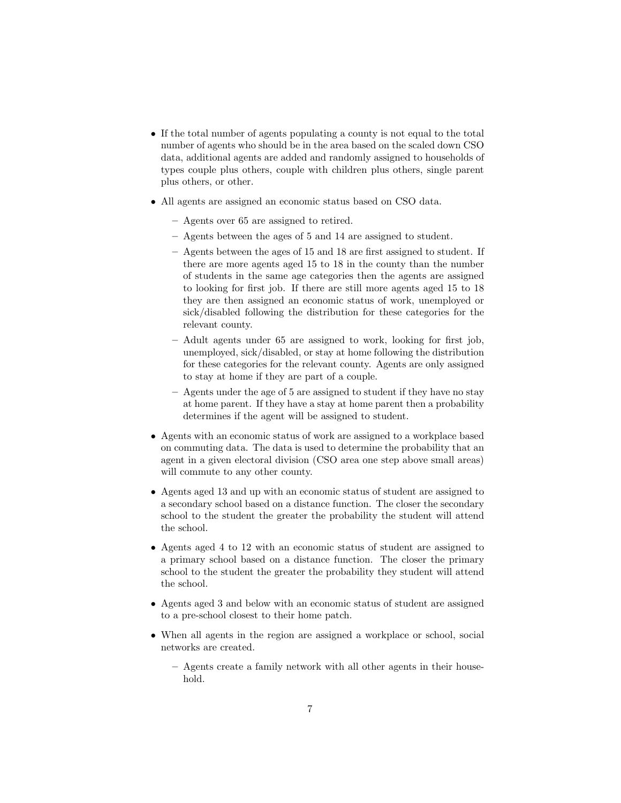- If the total number of agents populating a county is not equal to the total number of agents who should be in the area based on the scaled down CSO data, additional agents are added and randomly assigned to households of types couple plus others, couple with children plus others, single parent plus others, or other.
- All agents are assigned an economic status based on CSO data.
	- Agents over 65 are assigned to retired.
	- Agents between the ages of 5 and 14 are assigned to student.
	- Agents between the ages of 15 and 18 are first assigned to student. If there are more agents aged 15 to 18 in the county than the number of students in the same age categories then the agents are assigned to looking for first job. If there are still more agents aged 15 to 18 they are then assigned an economic status of work, unemployed or sick/disabled following the distribution for these categories for the relevant county.
	- Adult agents under 65 are assigned to work, looking for first job, unemployed, sick/disabled, or stay at home following the distribution for these categories for the relevant county. Agents are only assigned to stay at home if they are part of a couple.
	- Agents under the age of 5 are assigned to student if they have no stay at home parent. If they have a stay at home parent then a probability determines if the agent will be assigned to student.
- Agents with an economic status of work are assigned to a workplace based on commuting data. The data is used to determine the probability that an agent in a given electoral division (CSO area one step above small areas) will commute to any other county.
- Agents aged 13 and up with an economic status of student are assigned to a secondary school based on a distance function. The closer the secondary school to the student the greater the probability the student will attend the school.
- Agents aged 4 to 12 with an economic status of student are assigned to a primary school based on a distance function. The closer the primary school to the student the greater the probability they student will attend the school.
- Agents aged 3 and below with an economic status of student are assigned to a pre-school closest to their home patch.
- When all agents in the region are assigned a workplace or school, social networks are created.
	- Agents create a family network with all other agents in their household.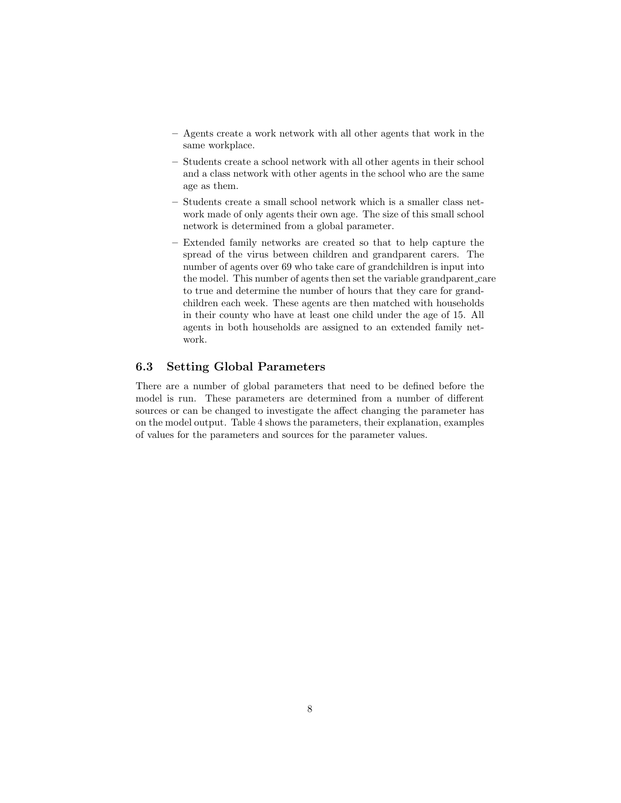- Agents create a work network with all other agents that work in the same workplace.
- Students create a school network with all other agents in their school and a class network with other agents in the school who are the same age as them.
- Students create a small school network which is a smaller class network made of only agents their own age. The size of this small school network is determined from a global parameter.
- Extended family networks are created so that to help capture the spread of the virus between children and grandparent carers. The number of agents over 69 who take care of grandchildren is input into the model. This number of agents then set the variable grandparent care to true and determine the number of hours that they care for grandchildren each week. These agents are then matched with households in their county who have at least one child under the age of 15. All agents in both households are assigned to an extended family network.

### 6.3 Setting Global Parameters

There are a number of global parameters that need to be defined before the model is run. These parameters are determined from a number of different sources or can be changed to investigate the affect changing the parameter has on the model output. Table 4 shows the parameters, their explanation, examples of values for the parameters and sources for the parameter values.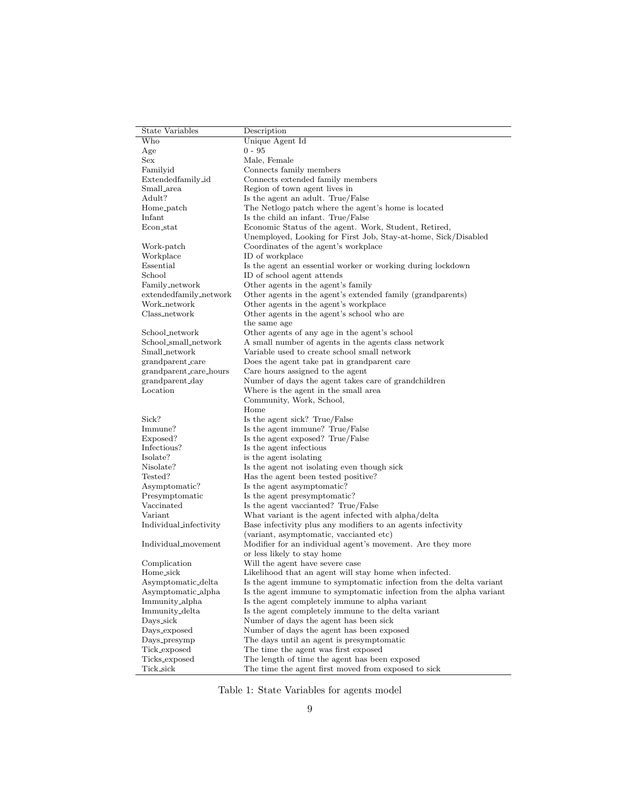| State Variables        | Description                                                         |
|------------------------|---------------------------------------------------------------------|
| Who                    | Unique Agent Id                                                     |
| Age                    | 0 - 95                                                              |
| Sex                    | Male, Female                                                        |
| Familyid               | Connects family members                                             |
| Extendedfamily_id      | Connects extended family members                                    |
| Small_area             | Region of town agent lives in                                       |
| Adult?                 | Is the agent an adult. True/False                                   |
| Home_patch             | The Netlogo patch where the agent's home is located                 |
| Infant                 | Is the child an infant. True/False                                  |
| Econ_stat              | Economic Status of the agent. Work, Student, Retired,               |
|                        | Unemployed, Looking for First Job, Stay-at-home, Sick/Disabled      |
| Work-patch             | Coordinates of the agent's workplace                                |
| Workplace              | ID of workplace                                                     |
| Essential              | Is the agent an essential worker or working during lockdown         |
| School                 | ID of school agent attends                                          |
| Family_network         | Other agents in the agent's family                                  |
| extendedfamily_network | Other agents in the agent's extended family (grandparents)          |
| Work_network           | Other agents in the agent's workplace                               |
| Class_network          | Other agents in the agent's school who are                          |
|                        | the same age                                                        |
| School_network         | Other agents of any age in the agent's school                       |
| School_small_network   | A small number of agents in the agents class network                |
| Small_network          | Variable used to create school small network                        |
| grandparent_care       | Does the agent take pat in grandparent care                         |
| grandparent_care_hours | Care hours assigned to the agent                                    |
| grandparent_day        | Number of days the agent takes care of grandchildren                |
| Location               | Where is the agent in the small area                                |
|                        | Community, Work, School,                                            |
|                        | Home                                                                |
| Sick?                  | Is the agent sick? True/False                                       |
| Immune?                | Is the agent immune? True/False                                     |
| Exposed?               | Is the agent exposed? True/False                                    |
| Infectious?            | Is the agent infectious                                             |
| Isolate?               | is the agent isolating                                              |
| Nisolate?              | Is the agent not isolating even though sick                         |
| Tested?                | Has the agent been tested positive?                                 |
| Asymptomatic?          | Is the agent asymptomatic?                                          |
| Presymptomatic         | Is the agent presymptomatic?                                        |
| Vaccinated             | Is the agent vaccianted? True/False                                 |
| Variant                | What variant is the agent infected with alpha/delta                 |
| Individual_infectivity | Base infectivity plus any modifiers to an agents infectivity        |
|                        | (variant, asymptomatic, vaccianted etc)                             |
| Individual_movement    | Modifier for an individual agent's movement. Are they more          |
|                        | or less likely to stay home                                         |
| Complication           | Will the agent have severe case                                     |
| Home_sick              | Likelihood that an agent will stay home when infected.              |
| Asymptomatic_delta     | Is the agent immune to symptomatic infection from the delta variant |
| Asymptomatic_alpha     | Is the agent immune to symptomatic infection from the alpha variant |
| Immunity_alpha         | Is the agent completely immune to alpha variant                     |
| Immunity_delta         | Is the agent completely immune to the delta variant                 |
| Days_sick              | Number of days the agent has been sick                              |
| Days_exposed           | Number of days the agent has been exposed                           |
| Days_presymp           | The days until an agent is presymptomatic                           |
| Tick_exposed           | The time the agent was first exposed                                |
| Ticks_exposed          | The length of time the agent has been exposed                       |
| Tick_sick              | The time the agent first moved from exposed to sick                 |

Table 1: State Variables for agents model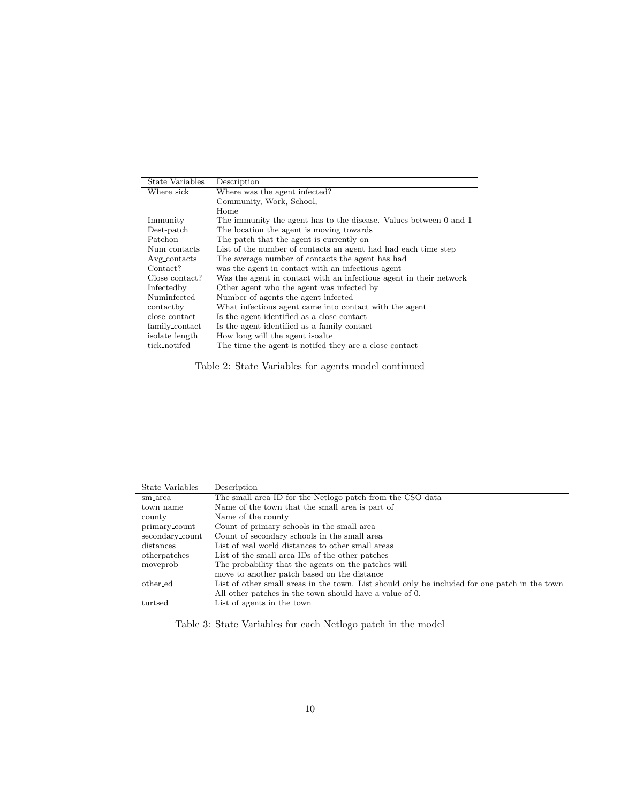| State Variables | Description                                                        |
|-----------------|--------------------------------------------------------------------|
| Where_sick      | Where was the agent infected?                                      |
|                 | Community, Work, School,                                           |
|                 | Home                                                               |
| Immunity        | The immunity the agent has to the disease. Values between 0 and 1  |
| Dest-patch      | The location the agent is moving towards                           |
| Patchon         | The patch that the agent is currently on                           |
| Num_contacts    | List of the number of contacts an agent had had each time step     |
| Avg_contacts    | The average number of contacts the agent has had                   |
| Contact?        | was the agent in contact with an infectious agent                  |
| Close_contact?  | Was the agent in contact with an infectious agent in their network |
| Infectedby      | Other agent who the agent was infected by                          |
| Numinfected     | Number of agents the agent infected                                |
| contactby       | What infectious agent came into contact with the agent             |
| close_contact   | Is the agent identified as a close contact                         |
| family_contact  | Is the agent identified as a family contact                        |
| isolate_length  | How long will the agent isoalte                                    |
| tick_notifed    | The time the agent is notifed they are a close contact             |

Table 2: State Variables for agents model continued

| State Variables | Description                                                                                   |
|-----------------|-----------------------------------------------------------------------------------------------|
| sm_area         | The small area ID for the Netlogo patch from the CSO data                                     |
| town_name       | Name of the town that the small area is part of                                               |
| county          | Name of the county                                                                            |
| primary_count   | Count of primary schools in the small area                                                    |
| secondary_count | Count of secondary schools in the small area                                                  |
| distances       | List of real world distances to other small areas                                             |
| otherpatches    | List of the small area IDs of the other patches                                               |
| moveprob        | The probability that the agents on the patches will                                           |
|                 | move to another patch based on the distance                                                   |
| other_ed        | List of other small areas in the town. List should only be included for one patch in the town |
|                 | All other patches in the town should have a value of 0.                                       |
| turtsed         | List of agents in the town                                                                    |

Table 3: State Variables for each Netlogo patch in the model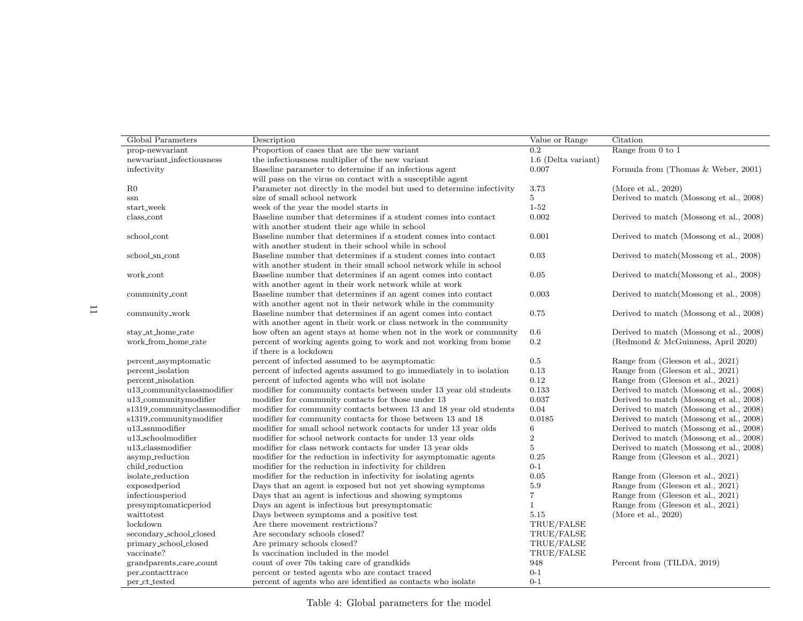| Global Parameters            | Description                                                           | Value or Range      | Citation                                |
|------------------------------|-----------------------------------------------------------------------|---------------------|-----------------------------------------|
| prop-newvariant              | Proportion of cases that are the new variant                          | 0.2                 | Range from 0 to 1                       |
| newvariant_infectiousness    | the infectiousness multiplier of the new variant                      | 1.6 (Delta variant) |                                         |
| infectivity                  | Baseline parameter to determine if an infectious agent                | 0.007               | Formula from (Thomas & Weber, 2001)     |
|                              | will pass on the virus on contact with a susceptible agent            |                     |                                         |
| $_{\rm R0}$                  | Parameter not directly in the model but used to determine infectivity | 3.73                | (More et al., $2020$ )                  |
| ssn                          | size of small school network                                          | $\overline{5}$      | Derived to match (Mossong et al., 2008) |
| start_week                   | week of the year the model starts in                                  | $1 - 52$            |                                         |
| class_cont                   | Baseline number that determines if a student comes into contact       | 0.002               | Derived to match (Mossong et al., 2008) |
|                              | with another student their age while in school                        |                     |                                         |
| school_cont                  | Baseline number that determines if a student comes into contact       | 0.001               | Derived to match (Mossong et al., 2008) |
|                              | with another student in their school while in school                  |                     |                                         |
| school_sn_cont               | Baseline number that determines if a student comes into contact       | 0.03                | Derived to match(Mossong et al., 2008)  |
|                              | with another student in their small school network while in school    |                     |                                         |
| work_cont                    | Baseline number that determines if an agent comes into contact        | 0.05                | Derived to match(Mossong et al., 2008)  |
|                              | with another agent in their work network while at work                |                     |                                         |
| community_cont               | Baseline number that determines if an agent comes into contact        | 0.003               | Derived to match(Mossong et al., 2008)  |
|                              | with another agent not in their network while in the community        |                     |                                         |
| community_work               | Baseline number that determines if an agent comes into contact        | 0.75                | Derived to match (Mossong et al., 2008) |
|                              | with another agent in their work or class network in the community    |                     |                                         |
| stay_at_home_rate            | how often an agent stays at home when not in the work or community    | 0.6                 | Derived to match (Mossong et al., 2008) |
| work_from_home_rate          | percent of working agents going to work and not working from home     | 0.2                 | (Redmond & McGuinness, April 2020)      |
|                              | if there is a lockdown                                                |                     |                                         |
| percent_asymptomatic         | percent of infected assumed to be asymptomatic                        | 0.5                 | Range from (Gleeson et al., 2021)       |
| percent_isolation            | percent of infected agents assumed to go immediately in to isolation  | 0.13                | Range from (Gleeson et al., 2021)       |
| percent_nisolation           | percent of infected agents who will not isolate                       | 0.12                | Range from (Gleeson et al., 2021)       |
| u13_communityclassmodifier   | modifier for community contacts between under 13 year old students    | 0.133               | Derived to match (Mossong et al., 2008) |
| u13_communitymodifier        | modifier for community contacts for those under 13                    | 0.037               | Derived to match (Mossong et al., 2008) |
| s1319_communityclassmodifier | modifier for community contacts between 13 and 18 year old students   | 0.04                | Derived to match (Mossong et al., 2008) |
| s1319_communitymodifier      | modifier for community contacts for those between 13 and 18           | 0.0185              | Derived to match (Mossong et al., 2008) |
| u13_ssnmodifier              | modifier for small school network contacts for under 13 year olds     | 6                   | Derived to match (Mossong et al., 2008) |
| u13_schoolmodifier           | modifier for school network contacts for under 13 year olds           | $\boldsymbol{2}$    | Derived to match (Mossong et al., 2008) |
| u13_classmodifier            | modifier for class network contacts for under 13 year olds            | $\,$ 5 $\,$         | Derived to match (Mossong et al., 2008) |
| asymp_reduction              | modifier for the reduction in infectivity for asymptomatic agents     | 0.25                | Range from (Gleeson et al., 2021)       |
| child_reduction              | modifier for the reduction in infectivity for children                | $0 - 1$             |                                         |
| isolate_reduction            | modifier for the reduction in infectivity for isolating agents        | 0.05                | Range from (Gleeson et al., 2021)       |
| exposed period               | Days that an agent is exposed but not yet showing symptoms            | 5.9                 | Range from (Gleeson et al., 2021)       |
| infectiousperiod             | Days that an agent is infectious and showing symptoms                 | 7                   | Range from (Gleeson et al., 2021)       |
| presymptomaticperiod         | Days an agent is infectious but presymptomatic                        | $\mathbf{1}$        | Range from (Gleeson et al., 2021)       |
| waittotest                   | Days between symptoms and a positive test                             | 5.15                | (More et al., $2020$ )                  |
| lockdown                     | Are there movement restrictions?                                      | TRUE/FALSE          |                                         |
| secondary_school_closed      | Are secondary schools closed?                                         | TRUE/FALSE          |                                         |
| primary_school_closed        | Are primary schools closed?                                           | TRUE/FALSE          |                                         |
| vaccinate?                   | Is vaccination included in the model                                  | TRUE/FALSE          |                                         |
| grandparents_care_count      | count of over 70s taking care of grandkids                            | 948                 | Percent from (TILDA, 2019)              |
| per_contacttrace             | percent or tested agents who are contact traced                       | $0 - 1$             |                                         |
| per_ct_tested                | percent of agents who are identified as contacts who isolate          | $0 - 1$             |                                         |

Table 4: Global parameters for the model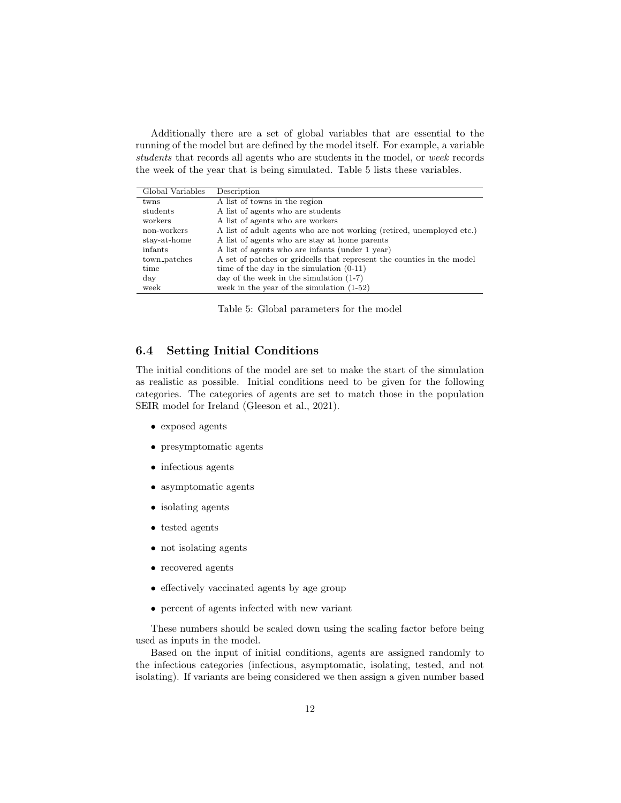Additionally there are a set of global variables that are essential to the running of the model but are defined by the model itself. For example, a variable students that records all agents who are students in the model, or week records the week of the year that is being simulated. Table 5 lists these variables.

| Global Variables | Description                                                            |
|------------------|------------------------------------------------------------------------|
| twns             | A list of towns in the region                                          |
| students         | A list of agents who are students                                      |
| workers          | A list of agents who are workers                                       |
| non-workers      | A list of adult agents who are not working (retired, unemployed etc.)  |
| stay-at-home     | A list of agents who are stay at home parents                          |
| infants          | A list of agents who are infants (under 1 year)                        |
| town_patches     | A set of patches or gridcells that represent the counties in the model |
| time             | time of the day in the simulation $(0-11)$                             |
| $\rm{day}$       | day of the week in the simulation $(1-7)$                              |
| week             | week in the year of the simulation $(1-52)$                            |

Table 5: Global parameters for the model

### 6.4 Setting Initial Conditions

The initial conditions of the model are set to make the start of the simulation as realistic as possible. Initial conditions need to be given for the following categories. The categories of agents are set to match those in the population SEIR model for Ireland (Gleeson et al., 2021).

- exposed agents
- presymptomatic agents
- infectious agents
- asymptomatic agents
- isolating agents
- tested agents
- not isolating agents
- recovered agents
- effectively vaccinated agents by age group
- percent of agents infected with new variant

These numbers should be scaled down using the scaling factor before being used as inputs in the model.

Based on the input of initial conditions, agents are assigned randomly to the infectious categories (infectious, asymptomatic, isolating, tested, and not isolating). If variants are being considered we then assign a given number based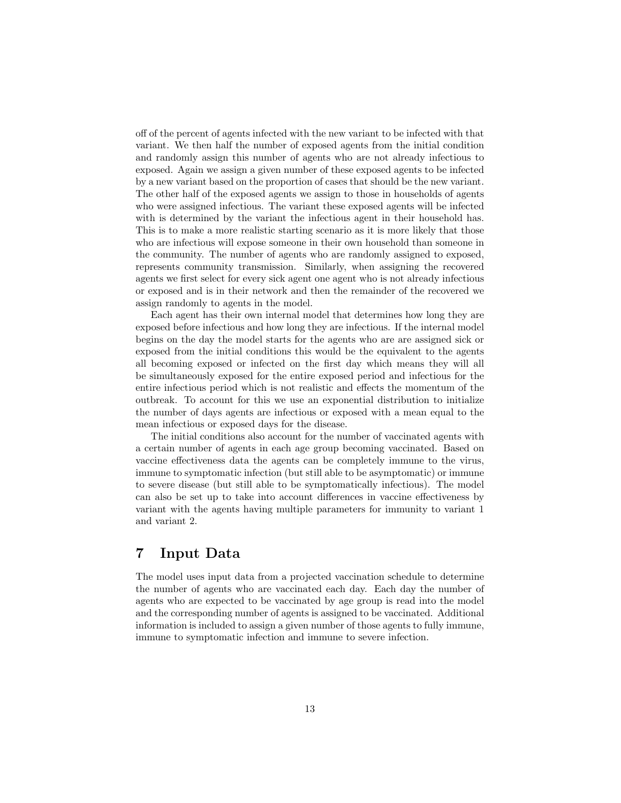off of the percent of agents infected with the new variant to be infected with that variant. We then half the number of exposed agents from the initial condition and randomly assign this number of agents who are not already infectious to exposed. Again we assign a given number of these exposed agents to be infected by a new variant based on the proportion of cases that should be the new variant. The other half of the exposed agents we assign to those in households of agents who were assigned infectious. The variant these exposed agents will be infected with is determined by the variant the infectious agent in their household has. This is to make a more realistic starting scenario as it is more likely that those who are infectious will expose someone in their own household than someone in the community. The number of agents who are randomly assigned to exposed, represents community transmission. Similarly, when assigning the recovered agents we first select for every sick agent one agent who is not already infectious or exposed and is in their network and then the remainder of the recovered we assign randomly to agents in the model.

Each agent has their own internal model that determines how long they are exposed before infectious and how long they are infectious. If the internal model begins on the day the model starts for the agents who are are assigned sick or exposed from the initial conditions this would be the equivalent to the agents all becoming exposed or infected on the first day which means they will all be simultaneously exposed for the entire exposed period and infectious for the entire infectious period which is not realistic and effects the momentum of the outbreak. To account for this we use an exponential distribution to initialize the number of days agents are infectious or exposed with a mean equal to the mean infectious or exposed days for the disease.

The initial conditions also account for the number of vaccinated agents with a certain number of agents in each age group becoming vaccinated. Based on vaccine effectiveness data the agents can be completely immune to the virus, immune to symptomatic infection (but still able to be asymptomatic) or immune to severe disease (but still able to be symptomatically infectious). The model can also be set up to take into account differences in vaccine effectiveness by variant with the agents having multiple parameters for immunity to variant 1 and variant 2.

# 7 Input Data

The model uses input data from a projected vaccination schedule to determine the number of agents who are vaccinated each day. Each day the number of agents who are expected to be vaccinated by age group is read into the model and the corresponding number of agents is assigned to be vaccinated. Additional information is included to assign a given number of those agents to fully immune, immune to symptomatic infection and immune to severe infection.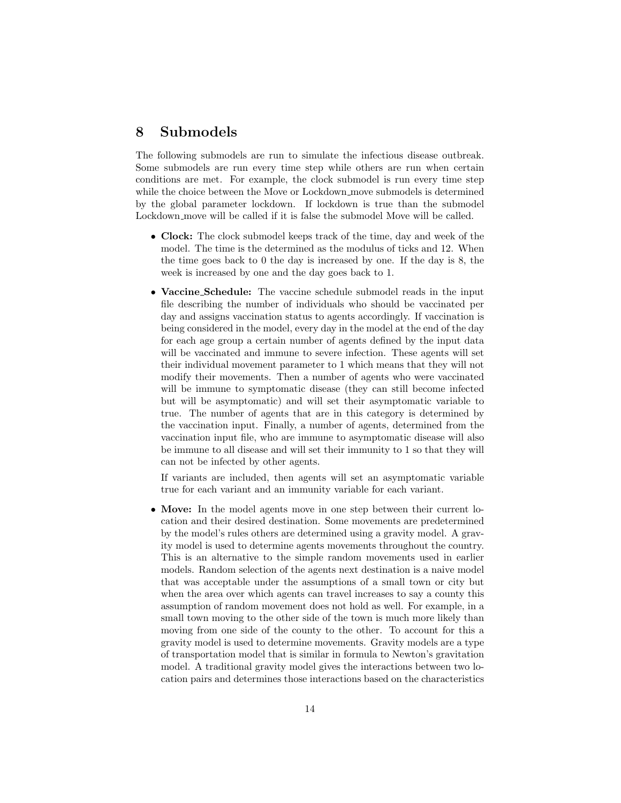# 8 Submodels

The following submodels are run to simulate the infectious disease outbreak. Some submodels are run every time step while others are run when certain conditions are met. For example, the clock submodel is run every time step while the choice between the Move or Lockdown move submodels is determined by the global parameter lockdown. If lockdown is true than the submodel Lockdown move will be called if it is false the submodel Move will be called.

- Clock: The clock submodel keeps track of the time, day and week of the model. The time is the determined as the modulus of ticks and 12. When the time goes back to 0 the day is increased by one. If the day is 8, the week is increased by one and the day goes back to 1.
- Vaccine Schedule: The vaccine schedule submodel reads in the input file describing the number of individuals who should be vaccinated per day and assigns vaccination status to agents accordingly. If vaccination is being considered in the model, every day in the model at the end of the day for each age group a certain number of agents defined by the input data will be vaccinated and immune to severe infection. These agents will set their individual movement parameter to 1 which means that they will not modify their movements. Then a number of agents who were vaccinated will be immune to symptomatic disease (they can still become infected but will be asymptomatic) and will set their asymptomatic variable to true. The number of agents that are in this category is determined by the vaccination input. Finally, a number of agents, determined from the vaccination input file, who are immune to asymptomatic disease will also be immune to all disease and will set their immunity to 1 so that they will can not be infected by other agents.

If variants are included, then agents will set an asymptomatic variable true for each variant and an immunity variable for each variant.

• Move: In the model agents move in one step between their current location and their desired destination. Some movements are predetermined by the model's rules others are determined using a gravity model. A gravity model is used to determine agents movements throughout the country. This is an alternative to the simple random movements used in earlier models. Random selection of the agents next destination is a naive model that was acceptable under the assumptions of a small town or city but when the area over which agents can travel increases to say a county this assumption of random movement does not hold as well. For example, in a small town moving to the other side of the town is much more likely than moving from one side of the county to the other. To account for this a gravity model is used to determine movements. Gravity models are a type of transportation model that is similar in formula to Newton's gravitation model. A traditional gravity model gives the interactions between two location pairs and determines those interactions based on the characteristics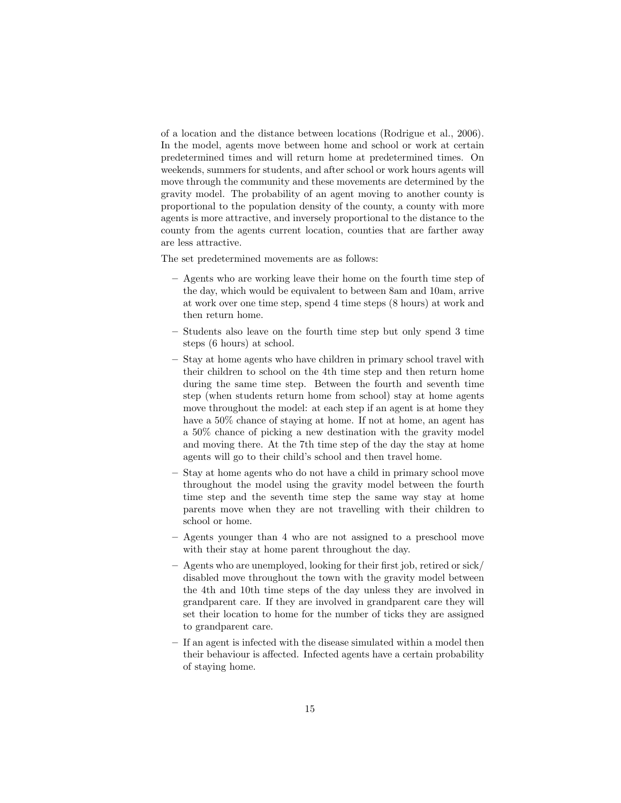of a location and the distance between locations (Rodrigue et al., 2006). In the model, agents move between home and school or work at certain predetermined times and will return home at predetermined times. On weekends, summers for students, and after school or work hours agents will move through the community and these movements are determined by the gravity model. The probability of an agent moving to another county is proportional to the population density of the county, a county with more agents is more attractive, and inversely proportional to the distance to the county from the agents current location, counties that are farther away are less attractive.

The set predetermined movements are as follows:

- Agents who are working leave their home on the fourth time step of the day, which would be equivalent to between 8am and 10am, arrive at work over one time step, spend 4 time steps (8 hours) at work and then return home.
- Students also leave on the fourth time step but only spend 3 time steps (6 hours) at school.
- Stay at home agents who have children in primary school travel with their children to school on the 4th time step and then return home during the same time step. Between the fourth and seventh time step (when students return home from school) stay at home agents move throughout the model: at each step if an agent is at home they have a  $50\%$  chance of staying at home. If not at home, an agent has a 50% chance of picking a new destination with the gravity model and moving there. At the 7th time step of the day the stay at home agents will go to their child's school and then travel home.
- Stay at home agents who do not have a child in primary school move throughout the model using the gravity model between the fourth time step and the seventh time step the same way stay at home parents move when they are not travelling with their children to school or home.
- Agents younger than 4 who are not assigned to a preschool move with their stay at home parent throughout the day.
- Agents who are unemployed, looking for their first job, retired or sick/ disabled move throughout the town with the gravity model between the 4th and 10th time steps of the day unless they are involved in grandparent care. If they are involved in grandparent care they will set their location to home for the number of ticks they are assigned to grandparent care.
- If an agent is infected with the disease simulated within a model then their behaviour is affected. Infected agents have a certain probability of staying home.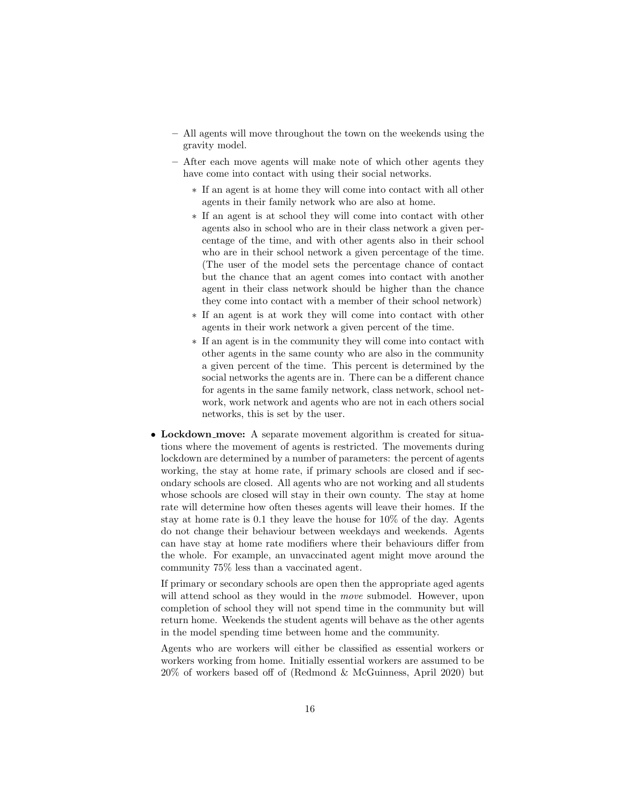- All agents will move throughout the town on the weekends using the gravity model.
- After each move agents will make note of which other agents they have come into contact with using their social networks.
	- ∗ If an agent is at home they will come into contact with all other agents in their family network who are also at home.
	- ∗ If an agent is at school they will come into contact with other agents also in school who are in their class network a given percentage of the time, and with other agents also in their school who are in their school network a given percentage of the time. (The user of the model sets the percentage chance of contact but the chance that an agent comes into contact with another agent in their class network should be higher than the chance they come into contact with a member of their school network)
	- ∗ If an agent is at work they will come into contact with other agents in their work network a given percent of the time.
	- ∗ If an agent is in the community they will come into contact with other agents in the same county who are also in the community a given percent of the time. This percent is determined by the social networks the agents are in. There can be a different chance for agents in the same family network, class network, school network, work network and agents who are not in each others social networks, this is set by the user.
- Lockdown\_move: A separate movement algorithm is created for situations where the movement of agents is restricted. The movements during lockdown are determined by a number of parameters: the percent of agents working, the stay at home rate, if primary schools are closed and if secondary schools are closed. All agents who are not working and all students whose schools are closed will stay in their own county. The stay at home rate will determine how often theses agents will leave their homes. If the stay at home rate is 0.1 they leave the house for 10% of the day. Agents do not change their behaviour between weekdays and weekends. Agents can have stay at home rate modifiers where their behaviours differ from the whole. For example, an unvaccinated agent might move around the community 75% less than a vaccinated agent.

If primary or secondary schools are open then the appropriate aged agents will attend school as they would in the *move* submodel. However, upon completion of school they will not spend time in the community but will return home. Weekends the student agents will behave as the other agents in the model spending time between home and the community.

Agents who are workers will either be classified as essential workers or workers working from home. Initially essential workers are assumed to be 20% of workers based off of (Redmond & McGuinness, April 2020) but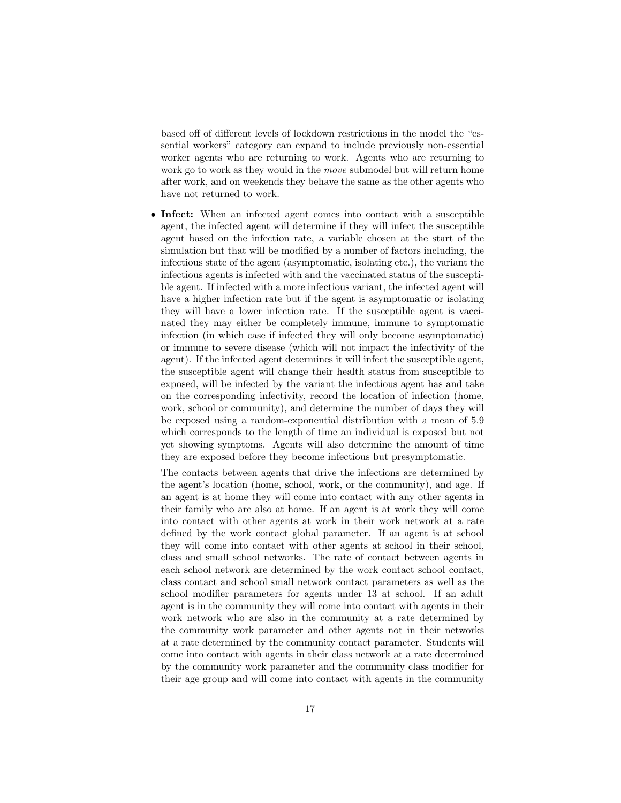based off of different levels of lockdown restrictions in the model the "essential workers" category can expand to include previously non-essential worker agents who are returning to work. Agents who are returning to work go to work as they would in the *move* submodel but will return home after work, and on weekends they behave the same as the other agents who have not returned to work.

• Infect: When an infected agent comes into contact with a susceptible agent, the infected agent will determine if they will infect the susceptible agent based on the infection rate, a variable chosen at the start of the simulation but that will be modified by a number of factors including, the infectious state of the agent (asymptomatic, isolating etc.), the variant the infectious agents is infected with and the vaccinated status of the susceptible agent. If infected with a more infectious variant, the infected agent will have a higher infection rate but if the agent is asymptomatic or isolating they will have a lower infection rate. If the susceptible agent is vaccinated they may either be completely immune, immune to symptomatic infection (in which case if infected they will only become asymptomatic) or immune to severe disease (which will not impact the infectivity of the agent). If the infected agent determines it will infect the susceptible agent, the susceptible agent will change their health status from susceptible to exposed, will be infected by the variant the infectious agent has and take on the corresponding infectivity, record the location of infection (home, work, school or community), and determine the number of days they will be exposed using a random-exponential distribution with a mean of 5.9 which corresponds to the length of time an individual is exposed but not yet showing symptoms. Agents will also determine the amount of time they are exposed before they become infectious but presymptomatic.

The contacts between agents that drive the infections are determined by the agent's location (home, school, work, or the community), and age. If an agent is at home they will come into contact with any other agents in their family who are also at home. If an agent is at work they will come into contact with other agents at work in their work network at a rate defined by the work contact global parameter. If an agent is at school they will come into contact with other agents at school in their school, class and small school networks. The rate of contact between agents in each school network are determined by the work contact school contact, class contact and school small network contact parameters as well as the school modifier parameters for agents under 13 at school. If an adult agent is in the community they will come into contact with agents in their work network who are also in the community at a rate determined by the community work parameter and other agents not in their networks at a rate determined by the community contact parameter. Students will come into contact with agents in their class network at a rate determined by the community work parameter and the community class modifier for their age group and will come into contact with agents in the community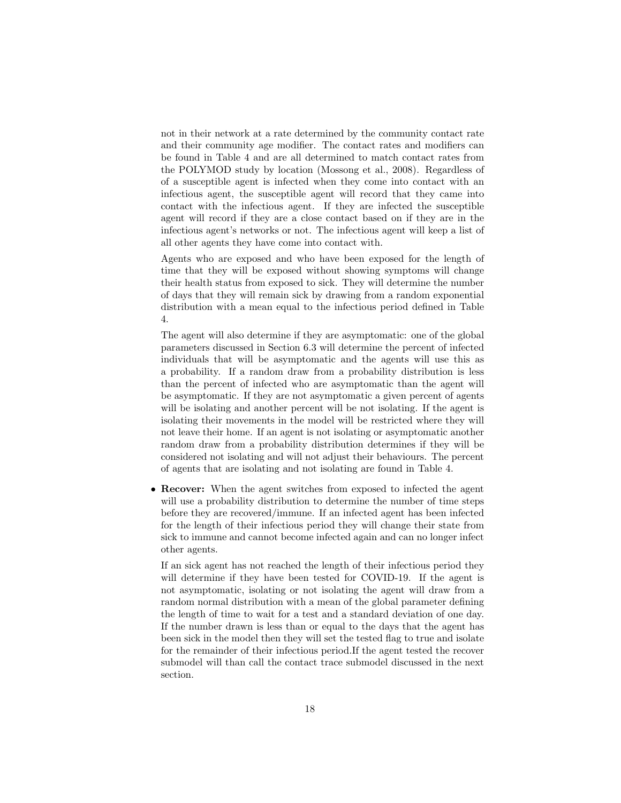not in their network at a rate determined by the community contact rate and their community age modifier. The contact rates and modifiers can be found in Table 4 and are all determined to match contact rates from the POLYMOD study by location (Mossong et al., 2008). Regardless of of a susceptible agent is infected when they come into contact with an infectious agent, the susceptible agent will record that they came into contact with the infectious agent. If they are infected the susceptible agent will record if they are a close contact based on if they are in the infectious agent's networks or not. The infectious agent will keep a list of all other agents they have come into contact with.

Agents who are exposed and who have been exposed for the length of time that they will be exposed without showing symptoms will change their health status from exposed to sick. They will determine the number of days that they will remain sick by drawing from a random exponential distribution with a mean equal to the infectious period defined in Table 4.

The agent will also determine if they are asymptomatic: one of the global parameters discussed in Section 6.3 will determine the percent of infected individuals that will be asymptomatic and the agents will use this as a probability. If a random draw from a probability distribution is less than the percent of infected who are asymptomatic than the agent will be asymptomatic. If they are not asymptomatic a given percent of agents will be isolating and another percent will be not isolating. If the agent is isolating their movements in the model will be restricted where they will not leave their home. If an agent is not isolating or asymptomatic another random draw from a probability distribution determines if they will be considered not isolating and will not adjust their behaviours. The percent of agents that are isolating and not isolating are found in Table 4.

• Recover: When the agent switches from exposed to infected the agent will use a probability distribution to determine the number of time steps before they are recovered/immune. If an infected agent has been infected for the length of their infectious period they will change their state from sick to immune and cannot become infected again and can no longer infect other agents.

If an sick agent has not reached the length of their infectious period they will determine if they have been tested for COVID-19. If the agent is not asymptomatic, isolating or not isolating the agent will draw from a random normal distribution with a mean of the global parameter defining the length of time to wait for a test and a standard deviation of one day. If the number drawn is less than or equal to the days that the agent has been sick in the model then they will set the tested flag to true and isolate for the remainder of their infectious period.If the agent tested the recover submodel will than call the contact trace submodel discussed in the next section.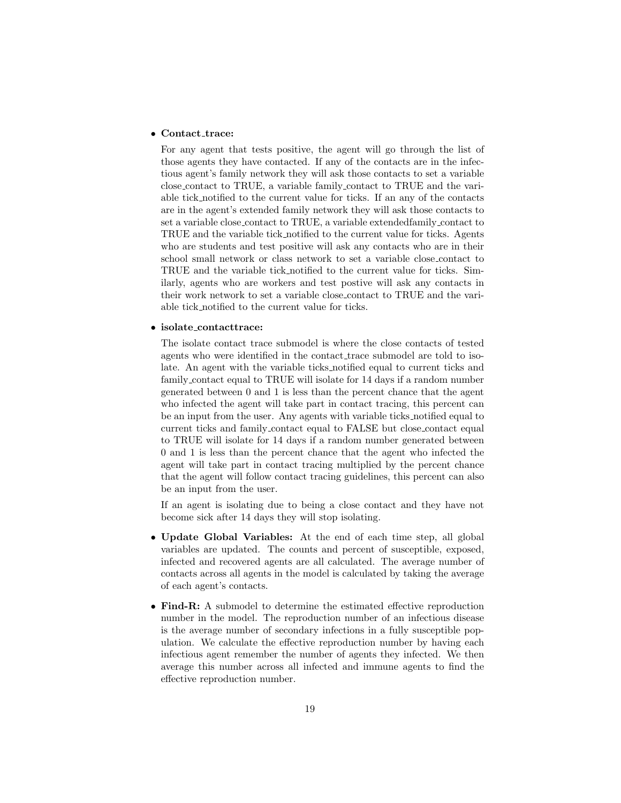#### • Contact\_trace:

For any agent that tests positive, the agent will go through the list of those agents they have contacted. If any of the contacts are in the infectious agent's family network they will ask those contacts to set a variable close contact to TRUE, a variable family contact to TRUE and the variable tick notified to the current value for ticks. If an any of the contacts are in the agent's extended family network they will ask those contacts to set a variable close contact to TRUE, a variable extendedfamily contact to TRUE and the variable tick notified to the current value for ticks. Agents who are students and test positive will ask any contacts who are in their school small network or class network to set a variable close contact to TRUE and the variable tick notified to the current value for ticks. Similarly, agents who are workers and test postive will ask any contacts in their work network to set a variable close contact to TRUE and the variable tick notified to the current value for ticks.

#### • isolate\_contacttrace:

The isolate contact trace submodel is where the close contacts of tested agents who were identified in the contact trace submodel are told to isolate. An agent with the variable ticks notified equal to current ticks and family contact equal to TRUE will isolate for 14 days if a random number generated between 0 and 1 is less than the percent chance that the agent who infected the agent will take part in contact tracing, this percent can be an input from the user. Any agents with variable ticks notified equal to current ticks and family contact equal to FALSE but close contact equal to TRUE will isolate for 14 days if a random number generated between 0 and 1 is less than the percent chance that the agent who infected the agent will take part in contact tracing multiplied by the percent chance that the agent will follow contact tracing guidelines, this percent can also be an input from the user.

If an agent is isolating due to being a close contact and they have not become sick after 14 days they will stop isolating.

- Update Global Variables: At the end of each time step, all global variables are updated. The counts and percent of susceptible, exposed, infected and recovered agents are all calculated. The average number of contacts across all agents in the model is calculated by taking the average of each agent's contacts.
- Find-R: A submodel to determine the estimated effective reproduction number in the model. The reproduction number of an infectious disease is the average number of secondary infections in a fully susceptible population. We calculate the effective reproduction number by having each infectious agent remember the number of agents they infected. We then average this number across all infected and immune agents to find the effective reproduction number.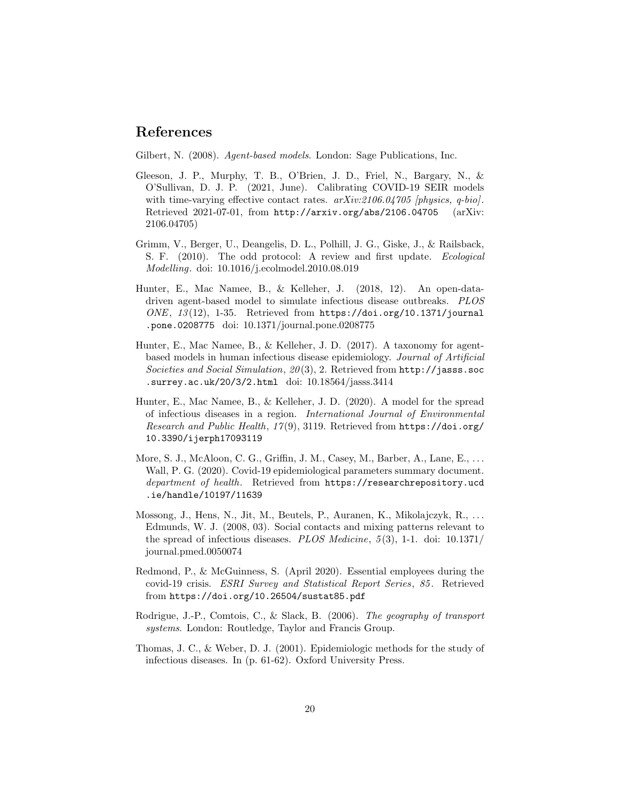## References

Gilbert, N. (2008). Agent-based models. London: Sage Publications, Inc.

- Gleeson, J. P., Murphy, T. B., O'Brien, J. D., Friel, N., Bargary, N., & O'Sullivan, D. J. P. (2021, June). Calibrating COVID-19 SEIR models with time-varying effective contact rates.  $arXiv:2106.04705$  [physics, q-bio]. Retrieved 2021-07-01, from http://arxiv.org/abs/2106.04705 (arXiv: 2106.04705)
- Grimm, V., Berger, U., Deangelis, D. L., Polhill, J. G., Giske, J., & Railsback, S. F. (2010). The odd protocol: A review and first update. Ecological Modelling. doi: 10.1016/j.ecolmodel.2010.08.019
- Hunter, E., Mac Namee, B., & Kelleher, J. (2018, 12). An open-datadriven agent-based model to simulate infectious disease outbreaks. PLOS ONE,  $13(12)$ , 1-35. Retrieved from https://doi.org/10.1371/journal .pone.0208775 doi: 10.1371/journal.pone.0208775
- Hunter, E., Mac Namee, B., & Kelleher, J. D. (2017). A taxonomy for agentbased models in human infectious disease epidemiology. Journal of Artificial Societies and Social Simulation,  $20(3)$ , 2. Retrieved from  $http://jass.soc$ .surrey.ac.uk/20/3/2.html doi: 10.18564/jasss.3414
- Hunter, E., Mac Namee, B., & Kelleher, J. D. (2020). A model for the spread of infectious diseases in a region. International Journal of Environmental Research and Public Health, 17 (9), 3119. Retrieved from https://doi.org/ 10.3390/ijerph17093119
- More, S. J., McAloon, C. G., Griffin, J. M., Casey, M., Barber, A., Lane, E., . . . Wall, P. G. (2020). Covid-19 epidemiological parameters summary document. department of health. Retrieved from https://researchrepository.ucd .ie/handle/10197/11639
- Mossong, J., Hens, N., Jit, M., Beutels, P., Auranen, K., Mikolajczyk, R., . . . Edmunds, W. J. (2008, 03). Social contacts and mixing patterns relevant to the spread of infectious diseases. PLOS Medicine,  $5(3)$ , 1-1. doi: 10.1371/ journal.pmed.0050074
- Redmond, P., & McGuinness, S. (April 2020). Essential employees during the covid-19 crisis. ESRI Survey and Statistical Report Series, 85 . Retrieved from https://doi.org/10.26504/sustat85.pdf
- Rodrigue, J.-P., Comtois, C., & Slack, B. (2006). The geography of transport systems. London: Routledge, Taylor and Francis Group.
- Thomas, J. C., & Weber, D. J. (2001). Epidemiologic methods for the study of infectious diseases. In (p. 61-62). Oxford University Press.